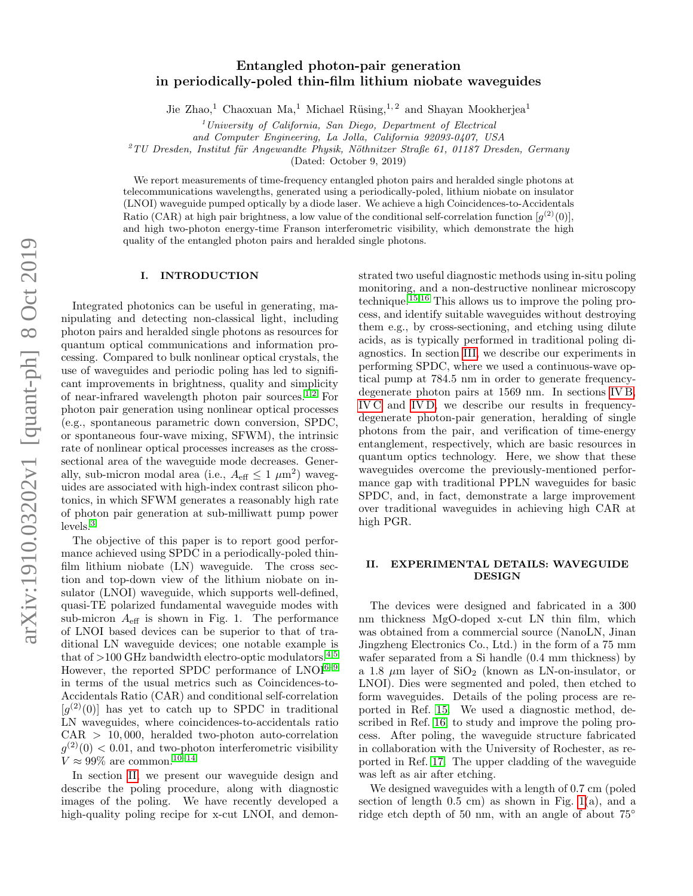# Entangled photon-pair generation in periodically-poled thin-film lithium niobate waveguides

Jie Zhao,<sup>1</sup> Chaoxuan Ma,<sup>1</sup> Michael Rüsing,<sup>1,2</sup> and Shayan Mookherjea<sup>1</sup>

 $1$ University of California, San Diego, Department of Electrical

and Computer Engineering, La Jolla, California 92093-0407, USA

 $2$ TU Dresden, Institut für Angewandte Physik, Nöthnitzer Straße 61, 01187 Dresden, Germany

(Dated: October 9, 2019)

We report measurements of time-frequency entangled photon pairs and heralded single photons at telecommunications wavelengths, generated using a periodically-poled, lithium niobate on insulator (LNOI) waveguide pumped optically by a diode laser. We achieve a high Coincidences-to-Accidentals Ratio (CAR) at high pair brightness, a low value of the conditional self-correlation function  $[g^{(2)}(0)]$ , and high two-photon energy-time Franson interferometric visibility, which demonstrate the high quality of the entangled photon pairs and heralded single photons.

### I. INTRODUCTION

Integrated photonics can be useful in generating, manipulating and detecting non-classical light, including photon pairs and heralded single photons as resources for quantum optical communications and information processing. Compared to bulk nonlinear optical crystals, the use of waveguides and periodic poling has led to significant improvements in brightness, quality and simplicity of near-infrared wavelength photon pair sources.[1](#page-7-0)[,2](#page-7-1) For photon pair generation using nonlinear optical processes (e.g., spontaneous parametric down conversion, SPDC, or spontaneous four-wave mixing, SFWM), the intrinsic rate of nonlinear optical processes increases as the crosssectional area of the waveguide mode decreases. Generally, sub-micron modal area (i.e.,  $A_{\text{eff}} \leq 1 \ \mu \text{m}^2$ ) waveguides are associated with high-index contrast silicon photonics, in which SFWM generates a reasonably high rate of photon pair generation at sub-milliwatt pump power levels.[3](#page-7-2)

The objective of this paper is to report good performance achieved using SPDC in a periodically-poled thinfilm lithium niobate (LN) waveguide. The cross section and top-down view of the lithium niobate on insulator (LNOI) waveguide, which supports well-defined, quasi-TE polarized fundamental waveguide modes with sub-micron  $A_{\text{eff}}$  is shown in Fig. 1. The performance of LNOI based devices can be superior to that of traditional LN waveguide devices; one notable example is that of  $>100$  GHz bandwidth electro-optic modulators.<sup>[4,](#page-7-3)[5](#page-7-4)</sup> However, the reported SPDC performance of  $LNOI^{6-9}$  $LNOI^{6-9}$  $LNOI^{6-9}$ in terms of the usual metrics such as Coincidences-to-Accidentals Ratio (CAR) and conditional self-correlation  $[g<sup>(2)</sup>(0)]$  has yet to catch up to SPDC in traditional LN waveguides, where coincidences-to-accidentals ratio  $CAR > 10,000$ , heralded two-photon auto-correlation  $g^{(2)}(0) < 0.01$ , and two-photon interferometric visibility  $V\approx 99\%$  are common.  $^{10-14}$  $^{10-14}$  $^{10-14}$ 

In section [II,](#page-0-0) we present our waveguide design and describe the poling procedure, along with diagnostic images of the poling. We have recently developed a high-quality poling recipe for x-cut LNOI, and demonstrated two useful diagnostic methods using in-situ poling monitoring, and a non-destructive nonlinear microscopy technique.[15](#page-7-9)[,16](#page-7-10) This allows us to improve the poling process, and identify suitable waveguides without destroying them e.g., by cross-sectioning, and etching using dilute acids, as is typically performed in traditional poling diagnostics. In section [III,](#page-1-0) we describe our experiments in performing SPDC, where we used a continuous-wave optical pump at 784.5 nm in order to generate frequencydegenerate photon pairs at 1569 nm. In sections [IV B,](#page-3-0) [IV C](#page-4-0) and [IV D,](#page-5-0) we describe our results in frequencydegenerate photon-pair generation, heralding of single photons from the pair, and verification of time-energy entanglement, respectively, which are basic resources in quantum optics technology. Here, we show that these waveguides overcome the previously-mentioned performance gap with traditional PPLN waveguides for basic SPDC, and, in fact, demonstrate a large improvement over traditional waveguides in achieving high CAR at high PGR.

## <span id="page-0-0"></span>II. EXPERIMENTAL DETAILS: WAVEGUIDE DESIGN

The devices were designed and fabricated in a 300 nm thickness MgO-doped x-cut LN thin film, which was obtained from a commercial source (NanoLN, Jinan Jingzheng Electronics Co., Ltd.) in the form of a 75 mm wafer separated from a Si handle (0.4 mm thickness) by a 1.8  $\mu$ m layer of SiO<sub>2</sub> (known as LN-on-insulator, or LNOI). Dies were segmented and poled, then etched to form waveguides. Details of the poling process are reported in Ref. [15.](#page-7-9) We used a diagnostic method, described in Ref. [16,](#page-7-10) to study and improve the poling process. After poling, the waveguide structure fabricated in collaboration with the University of Rochester, as reported in Ref. [17.](#page-7-11) The upper cladding of the waveguide was left as air after etching.

We designed waveguides with a length of 0.7 cm (poled section of length  $0.5$  cm) as shown in Fig. [1\(](#page-1-1)a), and a ridge etch depth of 50 nm, with an angle of about 75◦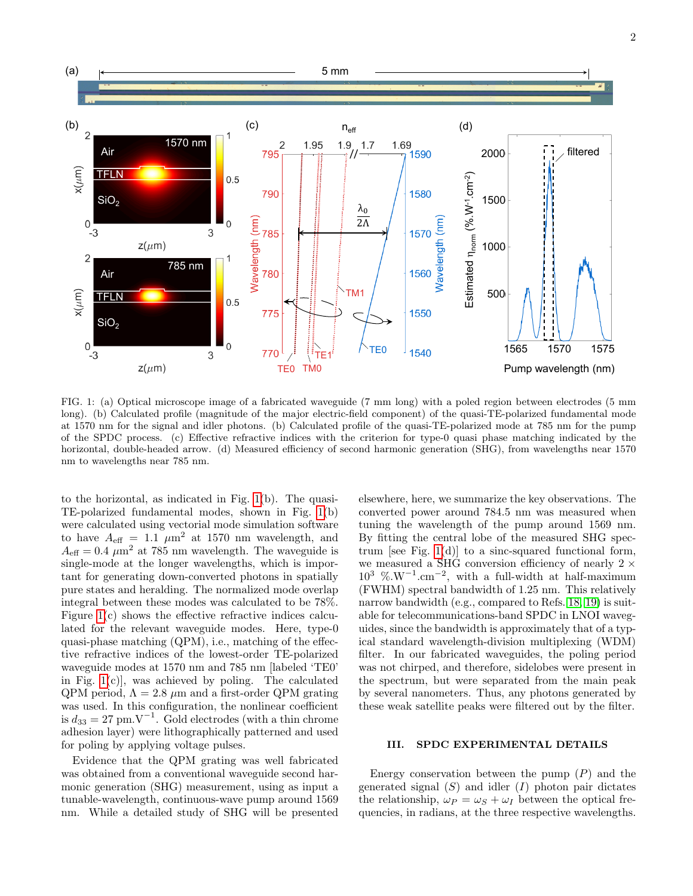

<span id="page-1-1"></span>FIG. 1: (a) Optical microscope image of a fabricated waveguide (7 mm long) with a poled region between electrodes (5 mm long). (b) Calculated profile (magnitude of the major electric-field component) of the quasi-TE-polarized fundamental mode at 1570 nm for the signal and idler photons. (b) Calculated profile of the quasi-TE-polarized mode at 785 nm for the pump of the SPDC process. (c) Effective refractive indices with the criterion for type-0 quasi phase matching indicated by the horizontal, double-headed arrow. (d) Measured efficiency of second harmonic generation (SHG), from wavelengths near 1570 nm to wavelengths near 785 nm.

to the horizontal, as indicated in Fig. [1\(](#page-1-1)b). The quasi-TE-polarized fundamental modes, shown in Fig. [1\(](#page-1-1)b) were calculated using vectorial mode simulation software to have  $A_{\text{eff}} = 1.1 \mu m^2$  at 1570 nm wavelength, and  $A_{\text{eff}} = 0.4 \ \mu \text{m}^2$  at 785 nm wavelength. The waveguide is single-mode at the longer wavelengths, which is important for generating down-converted photons in spatially pure states and heralding. The normalized mode overlap integral between these modes was calculated to be 78%. Figure [1\(](#page-1-1)c) shows the effective refractive indices calculated for the relevant waveguide modes. Here, type-0 quasi-phase matching (QPM), i.e., matching of the effective refractive indices of the lowest-order TE-polarized waveguide modes at 1570 nm and 785 nm [labeled 'TE0' in Fig.  $1(c)$ , was achieved by poling. The calculated QPM period,  $\Lambda = 2.8$  µm and a first-order QPM grating was used. In this configuration, the nonlinear coefficient is  $d_{33} = 27$  pm.V<sup>-1</sup>. Gold electrodes (with a thin chrome adhesion layer) were lithographically patterned and used for poling by applying voltage pulses.

Evidence that the QPM grating was well fabricated was obtained from a conventional waveguide second harmonic generation (SHG) measurement, using as input a tunable-wavelength, continuous-wave pump around 1569 nm. While a detailed study of SHG will be presented

elsewhere, here, we summarize the key observations. The converted power around 784.5 nm was measured when tuning the wavelength of the pump around 1569 nm. By fitting the central lobe of the measured SHG spectrum [see Fig.  $1(d)$ ] to a sinc-squared functional form, we measured a SHG conversion efficiency of nearly  $2 \times$  $10^3$  %.W<sup>-1</sup>.cm<sup>-2</sup>, with a full-width at half-maximum (FWHM) spectral bandwidth of 1.25 nm. This relatively narrow bandwidth (e.g., compared to Refs. [18,](#page-7-12) [19\)](#page-7-13) is suitable for telecommunications-band SPDC in LNOI waveguides, since the bandwidth is approximately that of a typical standard wavelength-division multiplexing (WDM) filter. In our fabricated waveguides, the poling period was not chirped, and therefore, sidelobes were present in the spectrum, but were separated from the main peak by several nanometers. Thus, any photons generated by these weak satellite peaks were filtered out by the filter.

# <span id="page-1-0"></span>III. SPDC EXPERIMENTAL DETAILS

Energy conservation between the pump  $(P)$  and the generated signal  $(S)$  and idler  $(I)$  photon pair dictates the relationship,  $\omega_P = \omega_S + \omega_I$  between the optical frequencies, in radians, at the three respective wavelengths.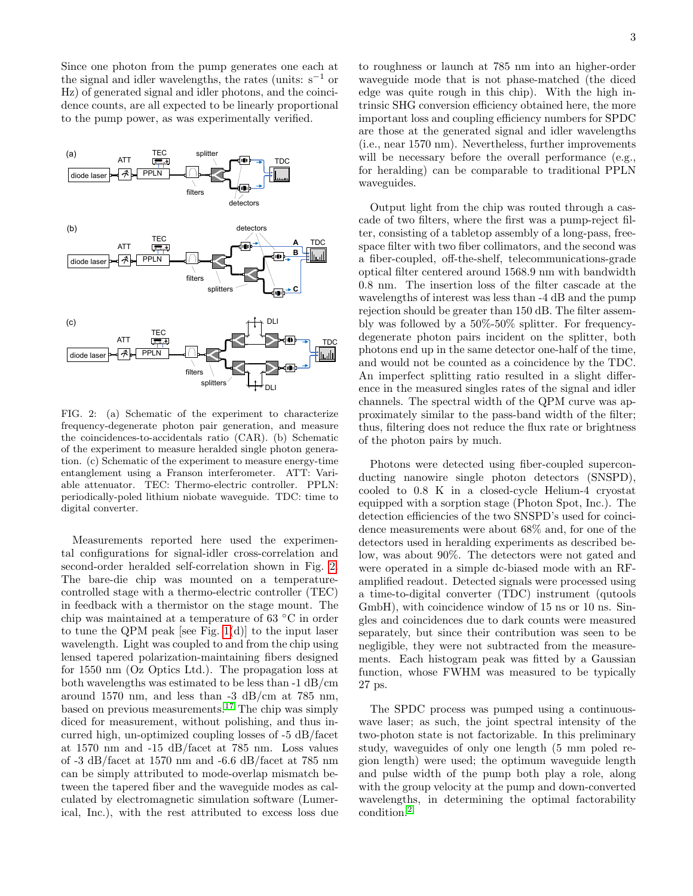Since one photon from the pump generates one each at the signal and idler wavelengths, the rates (units:  $s^{-1}$  or Hz) of generated signal and idler photons, and the coincidence counts, are all expected to be linearly proportional to the pump power, as was experimentally verified.



<span id="page-2-0"></span>FIG. 2: (a) Schematic of the experiment to characterize frequency-degenerate photon pair generation, and measure the coincidences-to-accidentals ratio (CAR). (b) Schematic of the experiment to measure heralded single photon generation. (c) Schematic of the experiment to measure energy-time entanglement using a Franson interferometer. ATT: Variable attenuator. TEC: Thermo-electric controller. PPLN: periodically-poled lithium niobate waveguide. TDC: time to digital converter.

Measurements reported here used the experimental configurations for signal-idler cross-correlation and second-order heralded self-correlation shown in Fig. [2.](#page-2-0) The bare-die chip was mounted on a temperaturecontrolled stage with a thermo-electric controller (TEC) in feedback with a thermistor on the stage mount. The chip was maintained at a temperature of 63 ◦C in order to tune the QPM peak [see Fig.  $1(d)$ ] to the input laser wavelength. Light was coupled to and from the chip using lensed tapered polarization-maintaining fibers designed for 1550 nm (Oz Optics Ltd.). The propagation loss at both wavelengths was estimated to be less than -1 dB/cm around 1570 nm, and less than -3 dB/cm at 785 nm, based on previous measurements.[17](#page-7-11) The chip was simply diced for measurement, without polishing, and thus incurred high, un-optimized coupling losses of -5 dB/facet at 1570 nm and -15 dB/facet at 785 nm. Loss values of -3 dB/facet at 1570 nm and -6.6 dB/facet at 785 nm can be simply attributed to mode-overlap mismatch between the tapered fiber and the waveguide modes as calculated by electromagnetic simulation software (Lumerical, Inc.), with the rest attributed to excess loss due to roughness or launch at 785 nm into an higher-order waveguide mode that is not phase-matched (the diced edge was quite rough in this chip). With the high intrinsic SHG conversion efficiency obtained here, the more important loss and coupling efficiency numbers for SPDC are those at the generated signal and idler wavelengths (i.e., near 1570 nm). Nevertheless, further improvements will be necessary before the overall performance (e.g., for heralding) can be comparable to traditional PPLN waveguides.

Output light from the chip was routed through a cascade of two filters, where the first was a pump-reject filter, consisting of a tabletop assembly of a long-pass, freespace filter with two fiber collimators, and the second was a fiber-coupled, off-the-shelf, telecommunications-grade optical filter centered around 1568.9 nm with bandwidth 0.8 nm. The insertion loss of the filter cascade at the wavelengths of interest was less than -4 dB and the pump rejection should be greater than 150 dB. The filter assembly was followed by a 50%-50% splitter. For frequencydegenerate photon pairs incident on the splitter, both photons end up in the same detector one-half of the time, and would not be counted as a coincidence by the TDC. An imperfect splitting ratio resulted in a slight difference in the measured singles rates of the signal and idler channels. The spectral width of the QPM curve was approximately similar to the pass-band width of the filter; thus, filtering does not reduce the flux rate or brightness of the photon pairs by much.

Photons were detected using fiber-coupled superconducting nanowire single photon detectors (SNSPD), cooled to 0.8 K in a closed-cycle Helium-4 cryostat equipped with a sorption stage (Photon Spot, Inc.). The detection efficiencies of the two SNSPD's used for coincidence measurements were about 68% and, for one of the detectors used in heralding experiments as described below, was about 90%. The detectors were not gated and were operated in a simple dc-biased mode with an RFamplified readout. Detected signals were processed using a time-to-digital converter (TDC) instrument (qutools GmbH), with coincidence window of 15 ns or 10 ns. Singles and coincidences due to dark counts were measured separately, but since their contribution was seen to be negligible, they were not subtracted from the measurements. Each histogram peak was fitted by a Gaussian function, whose FWHM was measured to be typically 27 ps.

The SPDC process was pumped using a continuouswave laser; as such, the joint spectral intensity of the two-photon state is not factorizable. In this preliminary study, waveguides of only one length (5 mm poled region length) were used; the optimum waveguide length and pulse width of the pump both play a role, along with the group velocity at the pump and down-converted wavelengths, in determining the optimal factorability condition.[2](#page-7-1)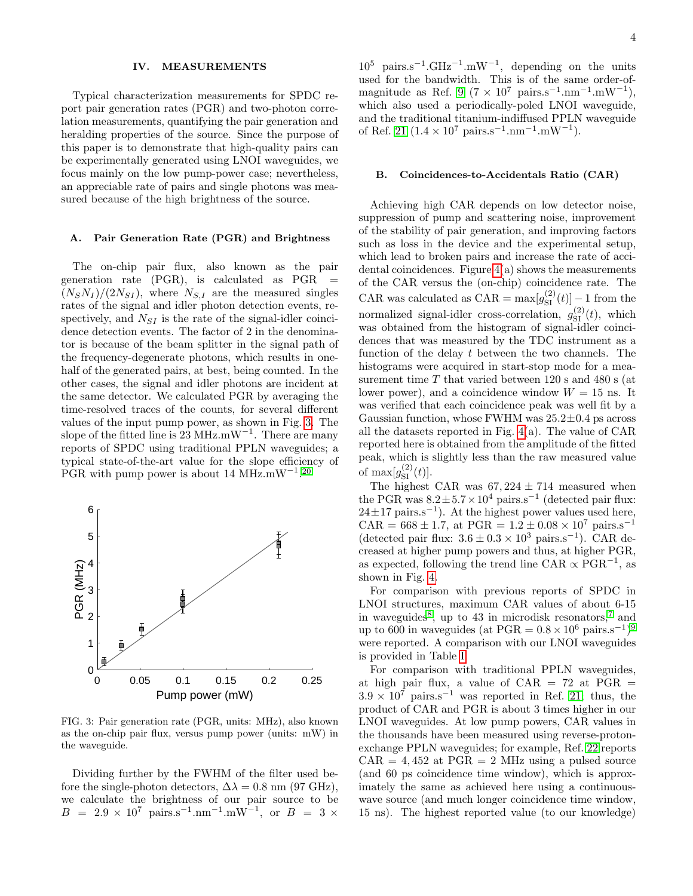#### IV. MEASUREMENTS

Typical characterization measurements for SPDC report pair generation rates (PGR) and two-photon correlation measurements, quantifying the pair generation and heralding properties of the source. Since the purpose of this paper is to demonstrate that high-quality pairs can be experimentally generated using LNOI waveguides, we focus mainly on the low pump-power case; nevertheless, an appreciable rate of pairs and single photons was measured because of the high brightness of the source.

### A. Pair Generation Rate (PGR) and Brightness

The on-chip pair flux, also known as the pair generation rate  $(PGR)$ , is calculated as  $PGR =$  $(N_S N_I)/(2N_{SI})$ , where  $N_{S,I}$  are the measured singles rates of the signal and idler photon detection events, respectively, and  $N_{SI}$  is the rate of the signal-idler coincidence detection events. The factor of 2 in the denominator is because of the beam splitter in the signal path of the frequency-degenerate photons, which results in onehalf of the generated pairs, at best, being counted. In the other cases, the signal and idler photons are incident at the same detector. We calculated PGR by averaging the time-resolved traces of the counts, for several different values of the input pump power, as shown in Fig. [3.](#page-3-1) The slope of the fitted line is 23 MHz.mW<sup>-1</sup>. There are many reports of SPDC using traditional PPLN waveguides; a typical state-of-the-art value for the slope efficiency of PGR with pump power is about 14 MHz.mW<sup>-1</sup>.<sup>[20](#page-7-14)</sup>



<span id="page-3-1"></span>FIG. 3: Pair generation rate (PGR, units: MHz), also known as the on-chip pair flux, versus pump power (units: mW) in the waveguide.

Dividing further by the FWHM of the filter used before the single-photon detectors,  $\Delta \lambda = 0.8$  nm (97 GHz), we calculate the brightness of our pair source to be  $B = 2.9 \times 10^7 \text{ pairs.s}^{-1} \text{.mm}^{-1} \text{.mW}^{-1}$ , or  $B = 3 \times$ 

 $10^5$  pairs.s<sup>-1</sup>.GHz<sup>-1</sup>.mW<sup>-1</sup>, depending on the units used for the bandwidth. This is of the same order-of-magnitude as Ref. [9](#page-7-6) ( $7 \times 10^7$  pairs.s<sup>-1</sup>.nm<sup>-1</sup>.mW<sup>-1</sup>), which also used a periodically-poled LNOI waveguide, and the traditional titanium-indiffused PPLN waveguide of Ref. [21](#page-7-15)  $(1.4 \times 10^7 \text{ pairs.s}^{-1} \cdot \text{nm}^{-1} \cdot \text{mW}^{-1})$ .

#### <span id="page-3-0"></span>B. Coincidences-to-Accidentals Ratio (CAR)

Achieving high CAR depends on low detector noise, suppression of pump and scattering noise, improvement of the stability of pair generation, and improving factors such as loss in the device and the experimental setup, which lead to broken pairs and increase the rate of accidental coincidences. Figure  $4(a)$  shows the measurements of the CAR versus the (on-chip) coincidence rate. The CAR was calculated as  $CAR = \max[g_{SI}^{(2)}(t)] - 1$  from the normalized signal-idler cross-correlation,  $g_{\rm SI}^{(2)}(t)$ , which was obtained from the histogram of signal-idler coincidences that was measured by the TDC instrument as a function of the delay  $t$  between the two channels. The histograms were acquired in start-stop mode for a measurement time  $T$  that varied between 120 s and 480 s (at lower power), and a coincidence window  $W = 15$  ns. It was verified that each coincidence peak was well fit by a Gaussian function, whose FWHM was  $25.2\pm0.4$  ps across all the datasets reported in Fig. [4\(](#page-4-1)a). The value of CAR reported here is obtained from the amplitude of the fitted peak, which is slightly less than the raw measured value of  $\max[g_{\text{SI}}^{(2)}(t)].$ 

The highest CAR was  $67,224 \pm 714$  measured when the PGR was  $8.2 \pm 5.7 \times 10^4$  pairs.s<sup>-1</sup> (detected pair flux:  $24 \pm 17$  pairs.s<sup>-1</sup>). At the highest power values used here, CAR =  $668 \pm 1.7$ , at PGR =  $1.2 \pm 0.08 \times 10^7$  pairs.s<sup>-1</sup> (detected pair flux:  $3.6 \pm 0.3 \times 10^3$  pairs.s<sup>-1</sup>). CAR decreased at higher pump powers and thus, at higher PGR, as expected, following the trend line CAR  $\propto \text{PGR}^{-1}$ , as shown in Fig. [4.](#page-4-1)

For comparison with previous reports of SPDC in LNOI structures, maximum CAR values of about 6-15 in waveguides<sup>[8](#page-7-16)</sup>, up to 43 in microdisk resonators,<sup>[7](#page-7-17)</sup> and up to 600 in waveguides (at  $PGR = 0.8 \times 10^6$  pairs.s<sup>-1</sup>)<sup>[9](#page-7-6)</sup> were reported. A comparison with our LNOI waveguides is provided in Table [I.](#page-6-0)

For comparison with traditional PPLN waveguides, at high pair flux, a value of  $CAR = 72$  at  $PGR =$  $3.9 \times 10^7$  pairs.s<sup>-1</sup> was reported in Ref. [21;](#page-7-15) thus, the product of CAR and PGR is about 3 times higher in our LNOI waveguides. At low pump powers, CAR values in the thousands have been measured using reverse-protonexchange PPLN waveguides; for example, Ref. [22](#page-7-18) reports  $CAR = 4,452$  at  $PGR = 2 MHz$  using a pulsed source (and 60 ps coincidence time window), which is approximately the same as achieved here using a continuouswave source (and much longer coincidence time window, 15 ns). The highest reported value (to our knowledge)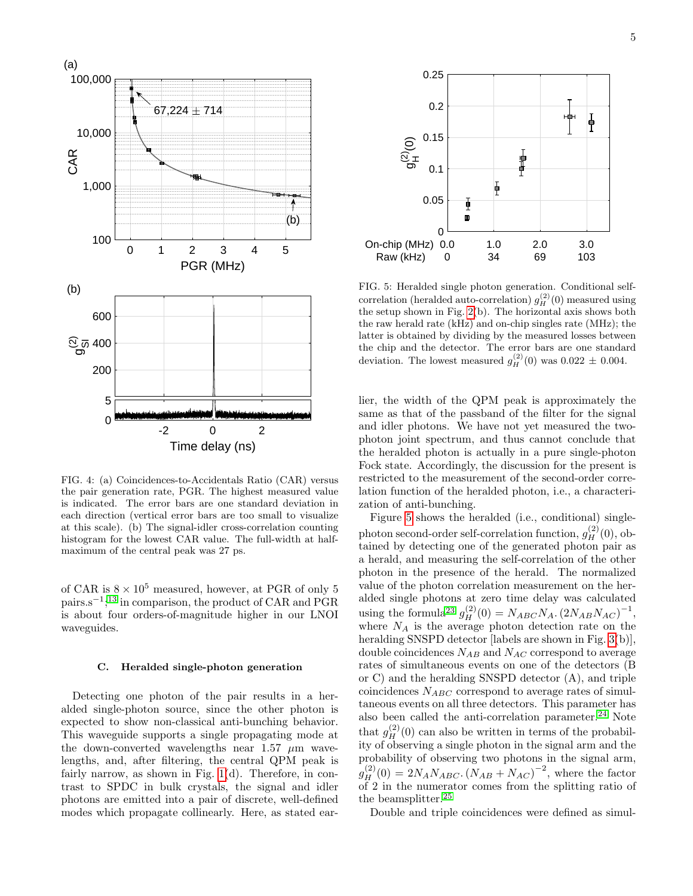

<span id="page-4-1"></span>FIG. 4: (a) Coincidences-to-Accidentals Ratio (CAR) versus the pair generation rate, PGR. The highest measured value is indicated. The error bars are one standard deviation in each direction (vertical error bars are too small to visualize at this scale). (b) The signal-idler cross-correlation counting histogram for the lowest CAR value. The full-width at halfmaximum of the central peak was 27 ps.

of CAR is  $8 \times 10^5$  measured, however, at PGR of only 5 pairs.s<sup>-1</sup>;<sup>[13](#page-7-19)</sup> in comparison, the product of CAR and PGR is about four orders-of-magnitude higher in our LNOI waveguides.

# <span id="page-4-0"></span>C. Heralded single-photon generation

Detecting one photon of the pair results in a heralded single-photon source, since the other photon is expected to show non-classical anti-bunching behavior. This waveguide supports a single propagating mode at the down-converted wavelengths near 1.57  $\mu$ m wavelengths, and, after filtering, the central QPM peak is fairly narrow, as shown in Fig.  $1(d)$ . Therefore, in contrast to SPDC in bulk crystals, the signal and idler photons are emitted into a pair of discrete, well-defined modes which propagate collinearly. Here, as stated ear-



<span id="page-4-2"></span>FIG. 5: Heralded single photon generation. Conditional selfcorrelation (heralded auto-correlation)  $g_H^{(2)}(0)$  measured using the setup shown in Fig. [2\(](#page-2-0)b). The horizontal axis shows both the raw herald rate (kHz) and on-chip singles rate (MHz); the latter is obtained by dividing by the measured losses between the chip and the detector. The error bars are one standard deviation. The lowest measured  $g_H^{(2)}(0)$  was  $0.022 \pm 0.004$ .

lier, the width of the QPM peak is approximately the same as that of the passband of the filter for the signal and idler photons. We have not yet measured the twophoton joint spectrum, and thus cannot conclude that the heralded photon is actually in a pure single-photon Fock state. Accordingly, the discussion for the present is restricted to the measurement of the second-order correlation function of the heralded photon, i.e., a characterization of anti-bunching.

Figure [5](#page-4-2) shows the heralded (i.e., conditional) singlephoton second-order self-correlation function,  $g_H^{(2)}(0)$ , obtained by detecting one of the generated photon pair as a herald, and measuring the self-correlation of the other photon in the presence of the herald. The normalized value of the photon correlation measurement on the heralded single photons at zero time delay was calculated using the formula<sup>[23](#page-7-20)</sup>  $g_H^{(2)}(0) = N_{ABC} N_A. (2N_{AB} N_{AC})^{-1}$ , where  $N_A$  is the average photon detection rate on the heralding SNSPD detector [labels are shown in Fig. [3\(](#page-3-1)b)], double coincidences  $N_{AB}$  and  $N_{AC}$  correspond to average rates of simultaneous events on one of the detectors (B or C) and the heralding SNSPD detector (A), and triple coincidences  $N_{ABC}$  correspond to average rates of simultaneous events on all three detectors. This parameter has also been called the anti-correlation parameter. $^{24}$  $^{24}$  $^{24}$  Note that  $g_H^{(2)}(0)$  can also be written in terms of the probability of observing a single photon in the signal arm and the probability of observing two photons in the signal arm,  $g_H^{(2)}(0) = 2N_A N_{ABC}$ .  $(N_{AB} + N_{AC})^{-2}$ , where the factor of 2 in the numerator comes from the splitting ratio of the beamsplitter.[25](#page-7-22)

Double and triple coincidences were defined as simul-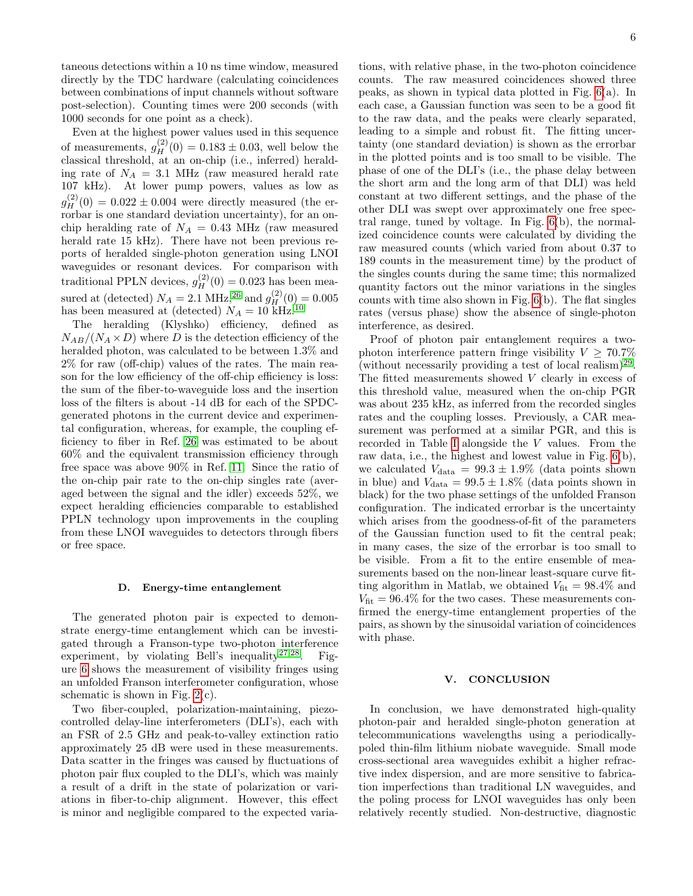taneous detections within a 10 ns time window, measured directly by the TDC hardware (calculating coincidences between combinations of input channels without software post-selection). Counting times were 200 seconds (with 1000 seconds for one point as a check).

Even at the highest power values used in this sequence of measurements,  $g_H^{(2)}(0) = 0.183 \pm 0.03$ , well below the classical threshold, at an on-chip (i.e., inferred) heralding rate of  $N_A = 3.1$  MHz (raw measured herald rate 107 kHz). At lower pump powers, values as low as  $g_H^{(2)}(0) = 0.022 \pm 0.004$  were directly measured (the errorbar is one standard deviation uncertainty), for an onchip heralding rate of  $N_A = 0.43$  MHz (raw measured herald rate 15 kHz). There have not been previous reports of heralded single-photon generation using LNOI waveguides or resonant devices. For comparison with traditional PPLN devices,  $g_H^{(2)}(0) = 0.023$  has been measured at (detected)  $N_A = 2.1 \text{ MHz},^{26} \text{ and } g_H^{(2)}(0) = 0.005$  $N_A = 2.1 \text{ MHz},^{26} \text{ and } g_H^{(2)}(0) = 0.005$  $N_A = 2.1 \text{ MHz},^{26} \text{ and } g_H^{(2)}(0) = 0.005$ has been measured at (detected)  $N_A = 10$  $N_A = 10$  kHz.<sup>10</sup>

The heralding (Klyshko) efficiency, defined as  $N_{AB}/(N_A \times D)$  where D is the detection efficiency of the heralded photon, was calculated to be between 1.3% and 2% for raw (off-chip) values of the rates. The main reason for the low efficiency of the off-chip efficiency is loss: the sum of the fiber-to-waveguide loss and the insertion loss of the filters is about -14 dB for each of the SPDCgenerated photons in the current device and experimental configuration, whereas, for example, the coupling efficiency to fiber in Ref. [26](#page-7-23) was estimated to be about 60% and the equivalent transmission efficiency through free space was above 90% in Ref. [11.](#page-7-24) Since the ratio of the on-chip pair rate to the on-chip singles rate (averaged between the signal and the idler) exceeds 52%, we expect heralding efficiencies comparable to established PPLN technology upon improvements in the coupling from these LNOI waveguides to detectors through fibers or free space.

#### <span id="page-5-0"></span>D. Energy-time entanglement

The generated photon pair is expected to demonstrate energy-time entanglement which can be investigated through a Franson-type two-photon interference experiment, by violating Bell's inequality<sup>[27](#page-7-25)[,28](#page-7-26)</sup>. Figure [6](#page-6-1) shows the measurement of visibility fringes using an unfolded Franson interferometer configuration, whose schematic is shown in Fig.  $2(c)$ .

Two fiber-coupled, polarization-maintaining, piezocontrolled delay-line interferometers (DLI's), each with an FSR of 2.5 GHz and peak-to-valley extinction ratio approximately 25 dB were used in these measurements. Data scatter in the fringes was caused by fluctuations of photon pair flux coupled to the DLI's, which was mainly a result of a drift in the state of polarization or variations in fiber-to-chip alignment. However, this effect is minor and negligible compared to the expected variations, with relative phase, in the two-photon coincidence counts. The raw measured coincidences showed three peaks, as shown in typical data plotted in Fig. [6\(](#page-6-1)a). In each case, a Gaussian function was seen to be a good fit to the raw data, and the peaks were clearly separated, leading to a simple and robust fit. The fitting uncertainty (one standard deviation) is shown as the errorbar in the plotted points and is too small to be visible. The phase of one of the DLI's (i.e., the phase delay between the short arm and the long arm of that DLI) was held constant at two different settings, and the phase of the other DLI was swept over approximately one free spectral range, tuned by voltage. In Fig. [6\(](#page-6-1)b), the normalized coincidence counts were calculated by dividing the raw measured counts (which varied from about 0.37 to 189 counts in the measurement time) by the product of the singles counts during the same time; this normalized quantity factors out the minor variations in the singles counts with time also shown in Fig. [6\(](#page-6-1)b). The flat singles rates (versus phase) show the absence of single-photon interference, as desired.

Proof of photon pair entanglement requires a twophoton interference pattern fringe visibility  $V \geq 70.7\%$ (without necessarily providing a test of local realism)<sup>[29](#page-7-27)</sup>. The fitted measurements showed  $V$  clearly in excess of this threshold value, measured when the on-chip PGR was about 235 kHz, as inferred from the recorded singles rates and the coupling losses. Previously, a CAR measurement was performed at a similar PGR, and this is recorded in Table [I](#page-6-0) alongside the V values. From the raw data, i.e., the highest and lowest value in Fig. [6\(](#page-6-1)b), we calculated  $V_{\text{data}} = 99.3 \pm 1.9\%$  (data points shown in blue) and  $V_{\text{data}} = 99.5 \pm 1.8\%$  (data points shown in black) for the two phase settings of the unfolded Franson configuration. The indicated errorbar is the uncertainty which arises from the goodness-of-fit of the parameters of the Gaussian function used to fit the central peak; in many cases, the size of the errorbar is too small to be visible. From a fit to the entire ensemble of measurements based on the non-linear least-square curve fitting algorithm in Matlab, we obtained  $V_{\text{fit}} = 98.4\%$  and  $V_{\text{fit}} = 96.4\%$  for the two cases. These measurements confirmed the energy-time entanglement properties of the pairs, as shown by the sinusoidal variation of coincidences with phase.

### V. CONCLUSION

In conclusion, we have demonstrated high-quality photon-pair and heralded single-photon generation at telecommunications wavelengths using a periodicallypoled thin-film lithium niobate waveguide. Small mode cross-sectional area waveguides exhibit a higher refractive index dispersion, and are more sensitive to fabrication imperfections than traditional LN waveguides, and the poling process for LNOI waveguides has only been relatively recently studied. Non-destructive, diagnostic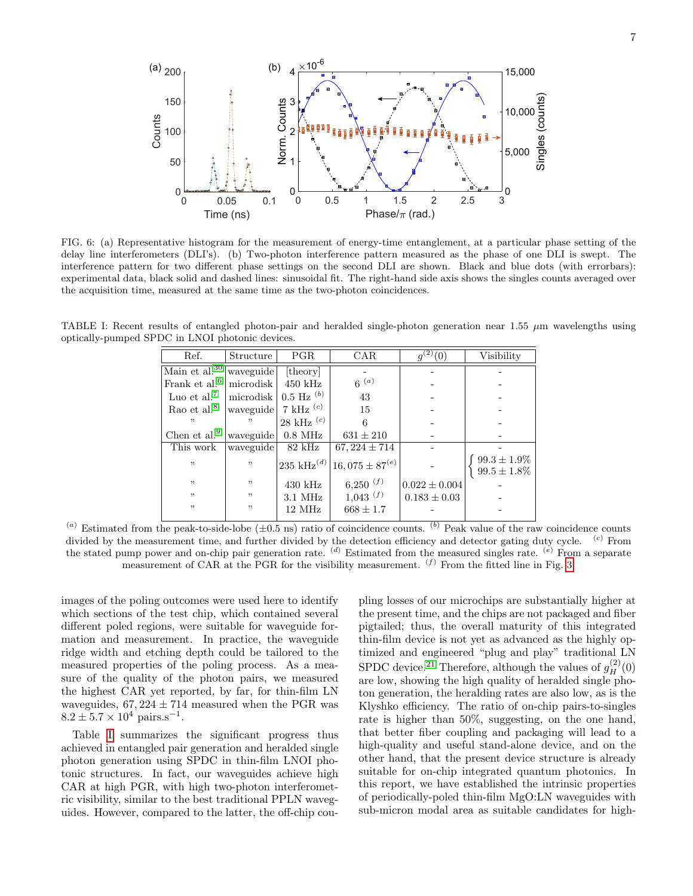

<span id="page-6-1"></span>FIG. 6: (a) Representative histogram for the measurement of energy-time entanglement, at a particular phase setting of the delay line interferometers (DLI's). (b) Two-photon interference pattern measured as the phase of one DLI is swept. The interference pattern for two different phase settings on the second DLI are shown. Black and blue dots (with errorbars): experimental data, black solid and dashed lines: sinusoidal fit. The right-hand side axis shows the singles counts averaged over the acquisition time, measured at the same time as the two-photon coincidences.

<span id="page-6-0"></span>TABLE I: Recent results of entangled photon-pair and heralded single-photon generation near 1.55  $\mu$ m wavelengths using optically-pumped SPDC in LNOI photonic devices.

| Ref.                      | Structure               | <b>PGR</b>          | CAR                   | $q^{(2)}(0)$      | Visibility                           |
|---------------------------|-------------------------|---------------------|-----------------------|-------------------|--------------------------------------|
| Main et al. <sup>30</sup> | waveguide               | [theory]            |                       |                   |                                      |
| Frank et al. <sup>6</sup> | microdisk               | $450$ kHz           | $6^{(a)}$             |                   |                                      |
| Luo et al. <sup>7</sup>   | microdisk               | $0.5$ Hz $^{(b)}$   | 43                    |                   |                                      |
| Rao et al. <sup>8</sup>   | waveguide   7 kHz $(c)$ |                     | 15                    |                   |                                      |
| , ,                       | "                       | $28$ kHz $(c)$      |                       |                   |                                      |
| Chen et al. <sup>9</sup>  | waveguide               | $0.8$ MHz           | $631 \pm 210$         |                   |                                      |
| This work                 | waveguide               | $82$ kHz            | $67,224 \pm 714$      |                   |                                      |
| , ,                       | , ,                     | 235 kHz $^{(d)}$    | $16,075 \pm 87^{(e)}$ |                   | $99.3 \pm 1.9\%$<br>$99.5 \pm 1.8\%$ |
| , ,                       | , ,                     | $430 \text{ kHz}$   | $6,250($ $(f)$        | $0.022 \pm 0.004$ |                                      |
| , ,                       | , ,                     | $3.1\ \mathrm{MHz}$ | $1,043$ $(f)$         | $0.183 \pm 0.03$  |                                      |
| , ,                       | "                       | 12 MHz              | $668 \pm 1.7$         |                   |                                      |
|                           |                         |                     |                       |                   |                                      |

(a) Estimated from the peak-to-side-lobe  $(\pm 0.5 \text{ ns})$  ratio of coincidence counts. (b) Peak value of the raw coincidence counts divided by the measurement time, and further divided by the detection efficiency and detector gating duty cycle. <sup>(c)</sup> From the stated pump power and on-chip pair generation rate.  $^{(d)}$  Estimated from the measured singles rate.  $^{(e)}$  From a separate measurement of CAR at the PGR for the visibility measurement.  $(f)$  From the fitted line in Fig. [3.](#page-3-1)

images of the poling outcomes were used here to identify which sections of the test chip, which contained several different poled regions, were suitable for waveguide formation and measurement. In practice, the waveguide ridge width and etching depth could be tailored to the measured properties of the poling process. As a measure of the quality of the photon pairs, we measured the highest CAR yet reported, by far, for thin-film LN waveguides,  $67,224 \pm 714$  measured when the PGR was  $8.2 \pm 5.7 \times 10^4$  pairs.s<sup>-1</sup>.

Table [I](#page-6-0) summarizes the significant progress thus achieved in entangled pair generation and heralded single photon generation using SPDC in thin-film LNOI photonic structures. In fact, our waveguides achieve high CAR at high PGR, with high two-photon interferometric visibility, similar to the best traditional PPLN waveguides. However, compared to the latter, the off-chip coupling losses of our microchips are substantially higher at the present time, and the chips are not packaged and fiber pigtailed; thus, the overall maturity of this integrated thin-film device is not yet as advanced as the highly optimized and engineered "plug and play" traditional LN SPDC device.<sup>[21](#page-7-15)</sup> Therefore, although the values of  $g_H^{(2)}(0)$ are low, showing the high quality of heralded single photon generation, the heralding rates are also low, as is the Klyshko efficiency. The ratio of on-chip pairs-to-singles rate is higher than 50%, suggesting, on the one hand, that better fiber coupling and packaging will lead to a high-quality and useful stand-alone device, and on the other hand, that the present device structure is already suitable for on-chip integrated quantum photonics. In this report, we have established the intrinsic properties of periodically-poled thin-film MgO:LN waveguides with sub-micron modal area as suitable candidates for high